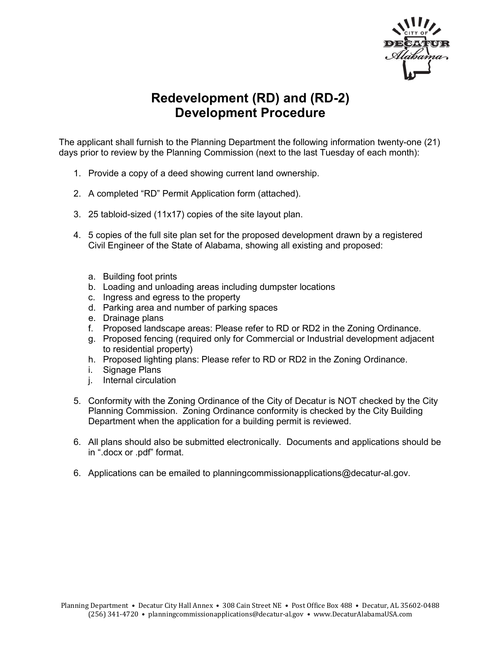

## **Redevelopment (RD) and (RD-2) Development Procedure**

The applicant shall furnish to the Planning Department the following information twenty-one (21) days prior to review by the Planning Commission (next to the last Tuesday of each month):

- 1. Provide a copy of a deed showing current land ownership.
- 2. A completed "RD" Permit Application form (attached).
- 3. 25 tabloid-sized (11x17) copies of the site layout plan.
- 4. 5 copies of the full site plan set for the proposed development drawn by a registered Civil Engineer of the State of Alabama, showing all existing and proposed:
	- a. Building foot prints
	- b. Loading and unloading areas including dumpster locations
	- c. Ingress and egress to the property
	- d. Parking area and number of parking spaces
	- e. Drainage plans
	- f. Proposed landscape areas: Please refer to RD or RD2 in the Zoning Ordinance.
	- g. Proposed fencing (required only for Commercial or Industrial development adjacent to residential property)
	- h. Proposed lighting plans: Please refer to RD or RD2 in the Zoning Ordinance.
	- i. Signage Plans
	- j. Internal circulation
- 5. Conformity with the Zoning Ordinance of the City of Decatur is NOT checked by the City Planning Commission. Zoning Ordinance conformity is checked by the City Building Department when the application for a building permit is reviewed.
- 6. All plans should also be submitted electronically. Documents and applications should be in ".docx or .pdf" format.
- 6. Applications can be emailed to planningcommissionapplications@decatur-al.gov.